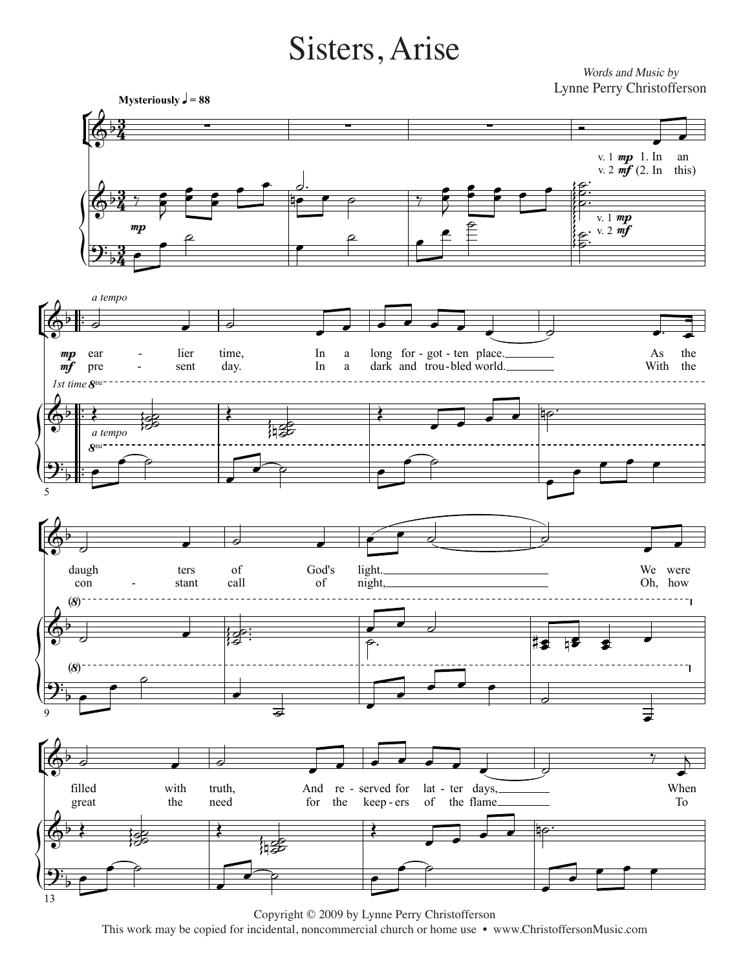## Sisters, Arise

*Words and Music by* Words and Music by Lynne Perry Christofferson Lynne Perry Christofferson



Copyright © 2009 by Lynne Perry Christofferson Copyright © 2009 by Lynne Perry Christofferson  $\frac{1}{2}$  incidental noncommercial church or home use  $\bullet$  wy This work may be copied for incidental, noncommercial church or home use • www.ChristoffersonMusic.com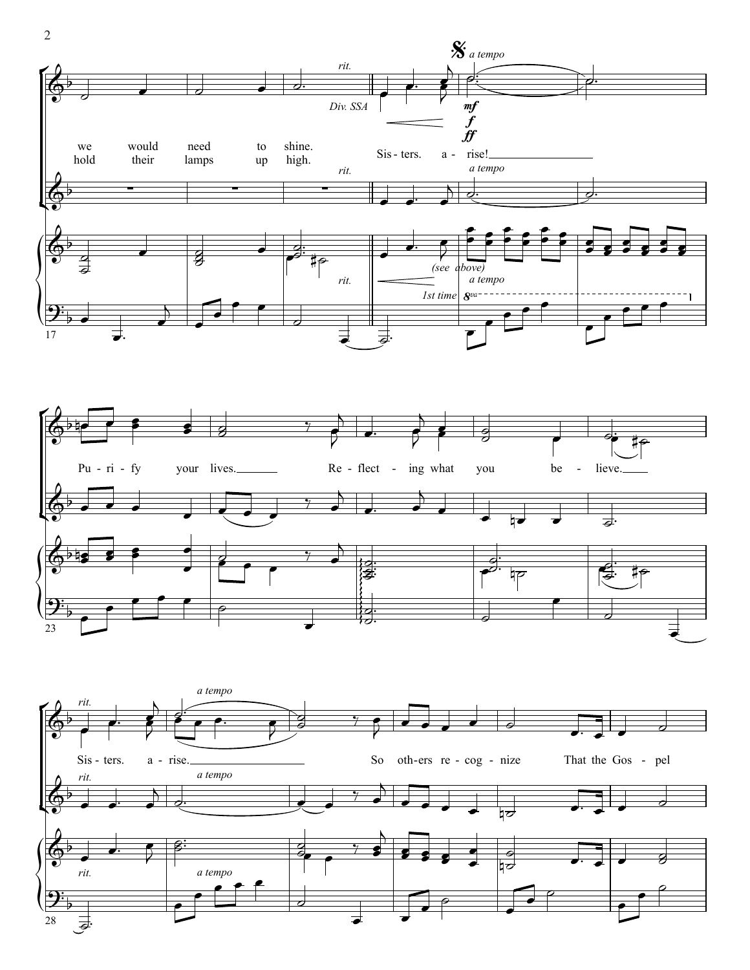



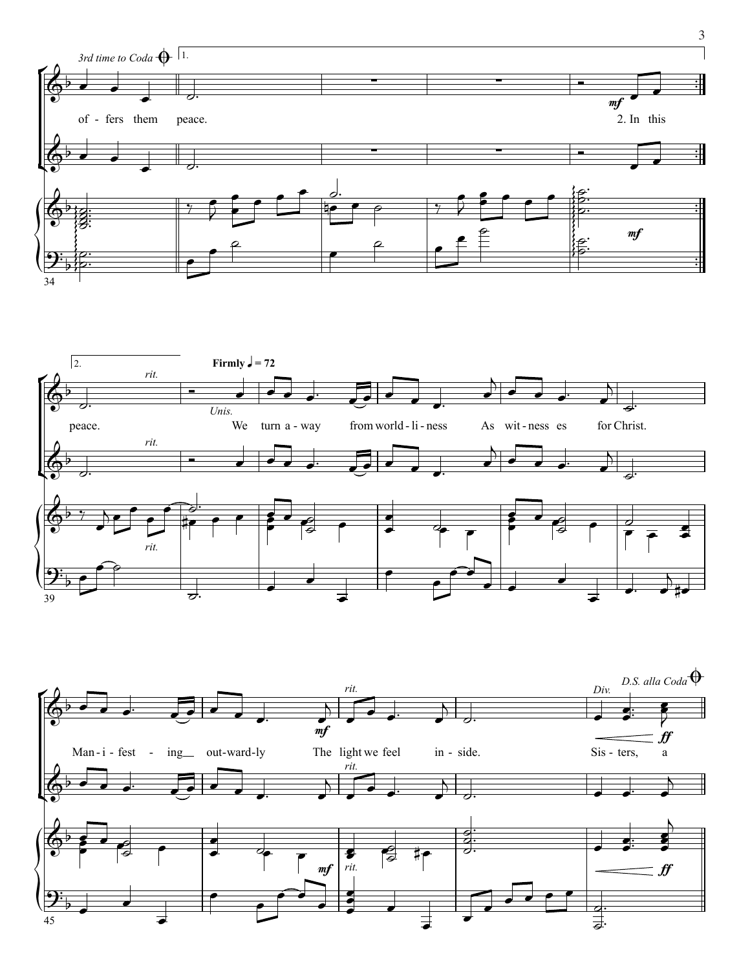